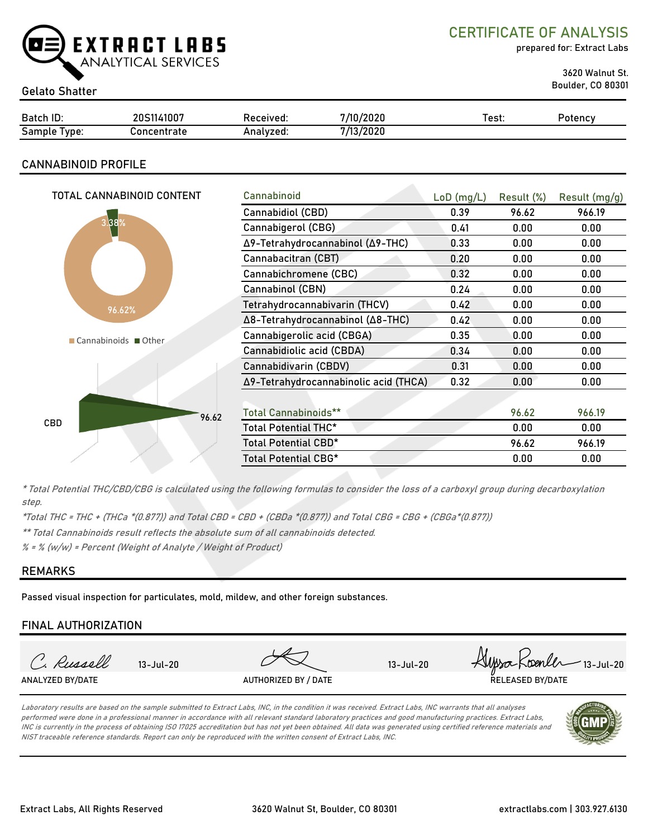

CERTIFICATE OF ANALYSIS

prepared for: Extract Labs

3620 Walnut St.

# Boulder, CO 80301 Gelato Shatter

| Batch ID:     | 11007       | Received. | /2020<br>7/1N                  | est: | 'otencv |
|---------------|-------------|-----------|--------------------------------|------|---------|
| Sampl<br>vpe: | `oncentrate | Analvzed. | <u>. 60</u><br>. Innne<br>ZUZU |      |         |

## CANNABINOID PROFILE

| TOTAL CANNABINOID CONTENT | Cannabinoid                           | $LoD$ (mg/L) | Result (%) | Result (mg/g) |
|---------------------------|---------------------------------------|--------------|------------|---------------|
|                           | Cannabidiol (CBD)                     | 0.39         | 96.62      | 966.19        |
| 3.88%                     | Cannabigerol (CBG)                    | 0.41         | 0.00       | 0.00          |
|                           | Δ9-Tetrahydrocannabinol (Δ9-THC)      | 0.33         | 0.00       | 0.00          |
|                           | Cannabacitran (CBT)                   | 0.20         | 0.00       | 0.00          |
|                           | Cannabichromene (CBC)                 | 0.32         | 0.00       | 0.00          |
|                           | Cannabinol (CBN)                      | 0.24         | 0.00       | 0.00          |
| 96.62%                    | Tetrahydrocannabivarin (THCV)         | 0.42         | 0.00       | 0.00          |
|                           | Δ8-Tetrahydrocannabinol (Δ8-THC)      | 0.42         | 0.00       | 0.00          |
| Cannabinoids Other        | Cannabigerolic acid (CBGA)            | 0.35         | 0.00       | 0.00          |
|                           | Cannabidiolic acid (CBDA)             | 0.34         | 0.00       | 0.00          |
|                           | Cannabidivarin (CBDV)                 | 0.31         | 0.00       | 0.00          |
|                           | Δ9-Tetrahydrocannabinolic acid (THCA) | 0.32         | 0.00       | 0.00          |
|                           |                                       |              |            |               |
| 96.62                     | <b>Total Cannabinoids**</b>           |              | 96.62      | 966.19        |
| <b>CBD</b>                | Total Potential THC*                  |              | 0.00       | 0.00          |
|                           | Total Potential CBD*                  |              | 96.62      | 966.19        |
|                           | Total Potential CBG*                  |              | 0.00       | 0.00          |
|                           |                                       |              |            |               |

\* Total Potential THC/CBD/CBG is calculated using the following formulas to consider the loss of a carboxyl group during decarboxylation step.

\*Total THC = THC + (THCa \*(0.877)) and Total CBD = CBD + (CBDa \*(0.877)) and Total CBG = CBG + (CBGa\*(0.877))

\*\* Total Cannabinoids result reflects the absolute sum of all cannabinoids detected.

 $% =$  % (w/w) = Percent (Weight of Analyte / Weight of Product)

## REMARKS

Passed visual inspection for particulates, mold, mildew, and other foreign substances.

## FINAL AUTHORIZATION

| <b>RELEASED BY/DATE</b><br>ANALYZED BY/DATE<br>AUTHORIZED BY / DATE | C. Russell | $13 - \frac{1}{20}$ | 13-Jul-20 | Alpsa Koenler 13-Jul-20 |
|---------------------------------------------------------------------|------------|---------------------|-----------|-------------------------|
|                                                                     |            |                     |           |                         |

Laboratory results are based on the sample submitted to Extract Labs, INC, in the condition it was received. Extract Labs, INC warrants that all analyses performed were done in a professional manner in accordance with all relevant standard laboratory practices and good manufacturing practices. Extract Labs, INC is currently in the process of obtaining ISO 17025 accreditation but has not yet been obtained. All data was generated using certified reference materials and NIST traceable reference standards. Report can only be reproduced with the written consent of Extract Labs, INC.

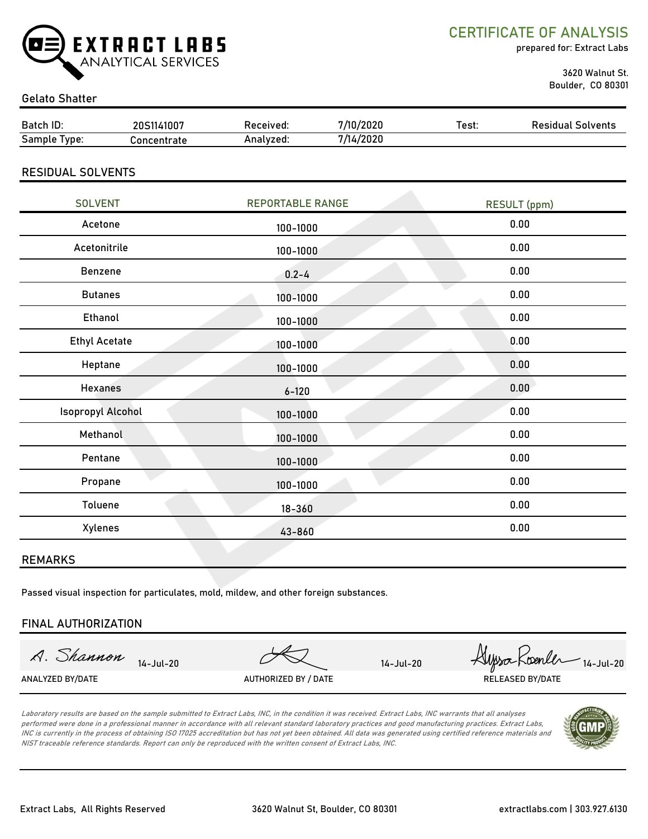

CERTIFICATE OF ANALYSIS

prepared for: Extract Labs

 3620 Walnut St. Boulder, CO 80301

### Gelato Shatter

| Batch ID:                | 20S1141007  | Received:               | 7/10/2020 | Test:               | <b>Residual Solvents</b> |
|--------------------------|-------------|-------------------------|-----------|---------------------|--------------------------|
| Sample Type:             | Concentrate | Analyzed:               | 7/14/2020 |                     |                          |
| <b>RESIDUAL SOLVENTS</b> |             |                         |           |                     |                          |
| <b>SOLVENT</b>           |             | <b>REPORTABLE RANGE</b> |           | <b>RESULT</b> (ppm) |                          |
| Acetone                  |             | 100-1000                |           | 0.00                |                          |
| Acetonitrile             |             | 100-1000                |           | 0.00                |                          |
| Benzene                  |             | $0.2 - 4$               |           | 0.00                |                          |
| <b>Butanes</b>           |             | 100-1000                |           | 0.00                |                          |
| E <sub>th</sub>          |             |                         |           | n nn                |                          |

| <b>Butanes</b>           | 100-1000     | 0.00 |
|--------------------------|--------------|------|
| Ethanol                  | 100-1000     | 0.00 |
| <b>Ethyl Acetate</b>     | 100-1000     | 0.00 |
| Heptane                  | 100-1000     | 0.00 |
| Hexanes                  | $6 - 120$    | 0.00 |
| <b>Isopropyl Alcohol</b> | $100 - 1000$ | 0.00 |
| Methanol                 | 100-1000     | 0.00 |
| Pentane                  | 100-1000     | 0.00 |
| Propane                  | 100-1000     | 0.00 |
| Toluene                  | $18 - 360$   | 0.00 |
| Xylenes                  | 43-860       | 0.00 |
|                          |              |      |

### REMARKS

Passed visual inspection for particulates, mold, mildew, and other foreign substances.

#### FINAL AUTHORIZATION

A. Shannon

14-Jul-20 *Hypso* Koenler 14-Jul-20 ANALYZED BY/DATE AUTHORIZED BY / DATE AUTHORIZED BY / DATE RELEASED BY/DATE

Laboratory results are based on the sample submitted to Extract Labs, INC, in the condition it was received. Extract Labs, INC warrants that all analyses performed were done in a professional manner in accordance with all relevant standard laboratory practices and good manufacturing practices. Extract Labs, INC is currently in the process of obtaining ISO 17025 accreditation but has not yet been obtained. All data was generated using certified reference materials and NIST traceable reference standards. Report can only be reproduced with the written consent of Extract Labs, INC.